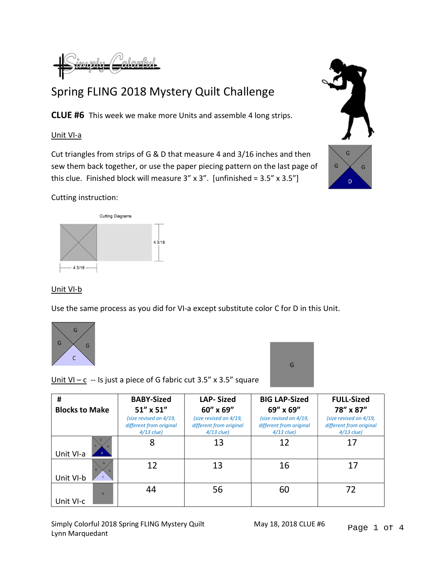

## Spring FLING 2018 Mystery Quilt Challenge

CLUE #6 This week we make more Units and assemble 4 long strips.

## Unit VI-a

Cut triangles from strips of G & D that measure 4 and 3/16 inches and then sew them back together, or use the paper piecing pattern on the last page of this clue. Finished block will measure  $3'' \times 3''$ . [unfinished =  $3.5'' \times 3.5''$ ]



## Cutting instruction:



## Unit VI-b

Use the same process as you did for VI-a except substitute color C for D in this Unit.





Unit VI –  $c - Is$  just a piece of G fabric cut 3.5" x 3.5" square

| #                     | <b>BABY-Sized</b>                                                 | <b>LAP-Sized</b>                                                  | <b>BIG LAP-Sized</b>                                              | <b>FULL-Sized</b>                                                 |
|-----------------------|-------------------------------------------------------------------|-------------------------------------------------------------------|-------------------------------------------------------------------|-------------------------------------------------------------------|
| <b>Blocks to Make</b> | $51''$ x $51''$                                                   | 60" x 69"                                                         | 69" x 69"                                                         | 78" x 87"                                                         |
|                       | (size revised on 4/19,<br>different from original<br>$4/13$ clue) | (size revised on 4/19,<br>different from original<br>$4/13$ clue) | (size revised on 4/19,<br>different from original<br>$4/13$ clue) | (size revised on 4/19,<br>different from original<br>$4/13$ clue) |
| Unit VI-a             | 8                                                                 | 13                                                                | 12                                                                | 17                                                                |
| G<br>G<br>Unit VI-b   | 12                                                                | 13                                                                | 16                                                                | 17                                                                |
| G<br>Unit VI-c        | 44                                                                | 56                                                                | 60                                                                | 72                                                                |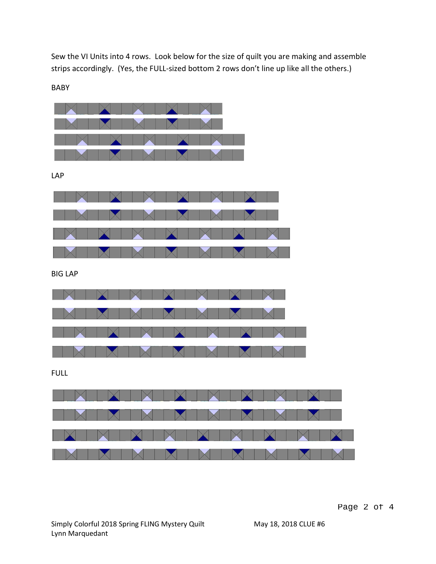Sew the VI Units into 4 rows. Look below for the size of quilt you are making and assemble strips accordingly. (Yes, the FULL-sized bottom 2 rows don't line up like all the others.)

BABY

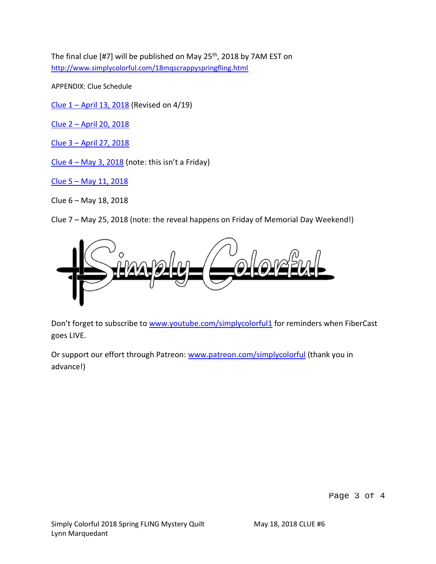The final clue [#7] will be published on May 25<sup>th</sup>, 2018 by 7AM EST on http://www.simplycolorful.com/18mqscrappyspringfling.html

APPENDIX: Clue Schedule

Clue 1 – April 13, 2018 (Revised on 4/19)

Clue 2 – April 20, 2018

Clue 3 – April 27, 2018

Clue  $4 - May 3, 2018$  (note: this isn't a Friday)

Clue 5 – May 11, 2018

Clue 6 – May 18, 2018

Clue 7 – May 25, 2018 (note: the reveal happens on Friday of Memorial Day Weekend!)



Don't forget to subscribe to www.youtube.com/simplycolorful1 for reminders when FiberCast goes LIVE.

Or support our effort through Patreon: www.patreon.com/simplycolorful (thank you in advance!)

Page 3 of 4